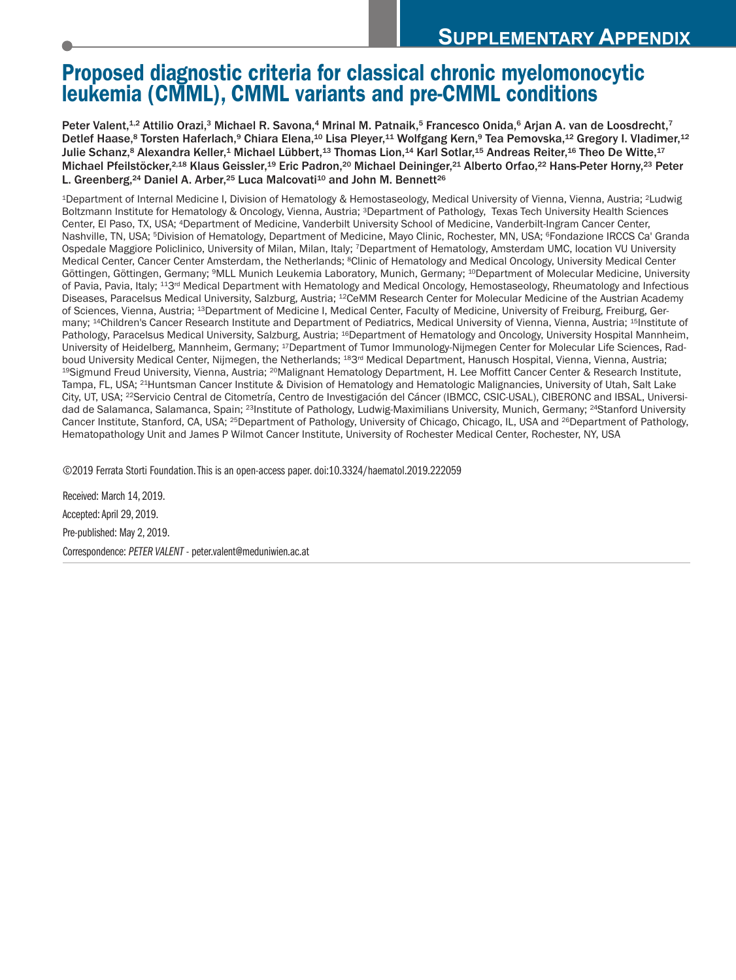# **Proposed diagnostic criteria for classical chronic myelomonocytic leukemia (CMML), CMML variants and pre-CMML conditions**

Peter Valent,<sup>12</sup> Attilio Orazi,<sup>3</sup> Michael R. Savona,<sup>4</sup> Mrinal M. Patnaik,<sup>5</sup> Francesco Onida,<sup>6</sup> Arjan A. van de Loosdrecht,<sup>7</sup> Detlef Haase,8 Torsten Haferlach,9 Chiara Elena,<sup>10</sup> Lisa Pleyer,<sup>11</sup> Wolfgang Kern,9 Tea Pemovska,<sup>12</sup> Gregory I. Vladimer,<sup>12</sup> Julie Schanz,<sup>s</sup> Alexandra Keller,<sup>1</sup> Michael Lübbert,<sup>13</sup> Thomas Lion,<sup>14</sup> Karl Sotlar,<sup>15</sup> Andreas Reiter,<sup>16</sup> Theo De Witte,<sup>17</sup> Michael Pfeilstöcker,<sup>2,18</sup> Klaus Geissler,<sup>19</sup> Eric Padron,<sup>20</sup> Michael Deininger,<sup>21</sup> Alberto Orfao,<sup>22</sup> Hans-Peter Horny,<sup>23</sup> Peter L. Greenberg,<sup>24</sup> Daniel A. Arber,<sup>25</sup> Luca Malcovati<sup>10</sup> and John M. Bennett<sup>26</sup>

1Department of Internal Medicine I, Division of Hematology & Hemostaseology, Medical University of Vienna, Vienna, Austria; 2Ludwig Boltzmann Institute for Hematology & Oncology, Vienna, Austria; 3Department of Pathology, Texas Tech University Health Sciences Center, El Paso, TX, USA; 4Department of Medicine, Vanderbilt University School of Medicine, Vanderbilt-Ingram Cancer Center, Nashville, TN, USA; 5Division of Hematology, Department of Medicine, Mayo Clinic, Rochester, MN, USA; 6Fondazione IRCCS Ca' Granda Ospedale Maggiore Policlinico, University of Milan, Milan, Italy; 7Department of Hematology, Amsterdam UMC, location VU University Medical Center, Cancer Center Amsterdam, the Netherlands; 8Clinic of Hematology and Medical Oncology, University Medical Center Göttingen, Göttingen, Germany; <sup>9</sup>MLL Munich Leukemia Laboratory, Munich, Germany; <sup>10</sup>Department of Molecular Medicine, University of Pavia, Pavia, Italy; <sup>113rd</sup> Medical Department with Hematology and Medical Oncology, Hemostaseology, Rheumatology and Infectious Diseases, Paracelsus Medical University, Salzburg, Austria; 12CeMM Research Center for Molecular Medicine of the Austrian Academy of Sciences, Vienna, Austria; 13Department of Medicine I, Medical Center, Faculty of Medicine, University of Freiburg, Freiburg, Germany; <sup>14</sup>Children's Cancer Research Institute and Department of Pediatrics, Medical University of Vienna, Vienna, Austria; <sup>15</sup>Institute of Pathology, Paracelsus Medical University, Salzburg, Austria; <sup>16</sup>Department of Hematology and Oncology, University Hospital Mannheim, University of Heidelberg, Mannheim, Germany; 17Department of Tumor Immunology-Nijmegen Center for Molecular Life Sciences, Radboud University Medical Center, Nijmegen, the Netherlands; <sup>18</sup>3<sup>rd</sup> Medical Department, Hanusch Hospital, Vienna, Vienna, Austria; 19Sigmund Freud University, Vienna, Austria; 20Malignant Hematology Department, H. Lee Moffitt Cancer Center & Research Institute, Tampa, FL, USA; <sup>21</sup>Huntsman Cancer Institute & Division of Hematology and Hematologic Malignancies, University of Utah, Salt Lake City, UT, USA; 22Servicio Central de Citometría, Centro de Investigación del Cáncer (IBMCC, CSIC-USAL), CIBERONC and IBSAL, Universidad de Salamanca, Salamanca, Spain; <sup>23</sup>Institute of Pathology, Ludwig-Maximilians University, Munich, Germany; <sup>24</sup>Stanford University Cancer Institute, Stanford, CA, USA; 25Department of Pathology, University of Chicago, Chicago, IL, USA and 26Department of Pathology, Hematopathology Unit and James P Wilmot Cancer Institute, University of Rochester Medical Center, Rochester, NY, USA

©2019 Ferrata Storti Foundation.This is an open-access paper. doi:10.3324/haematol.2019.222059

Received: March 14, 2019. Accepted:April 29, 2019. Pre-published: May 2, 2019. Correspondence: *PETER VALENT* - peter.valent@meduniwien.ac.at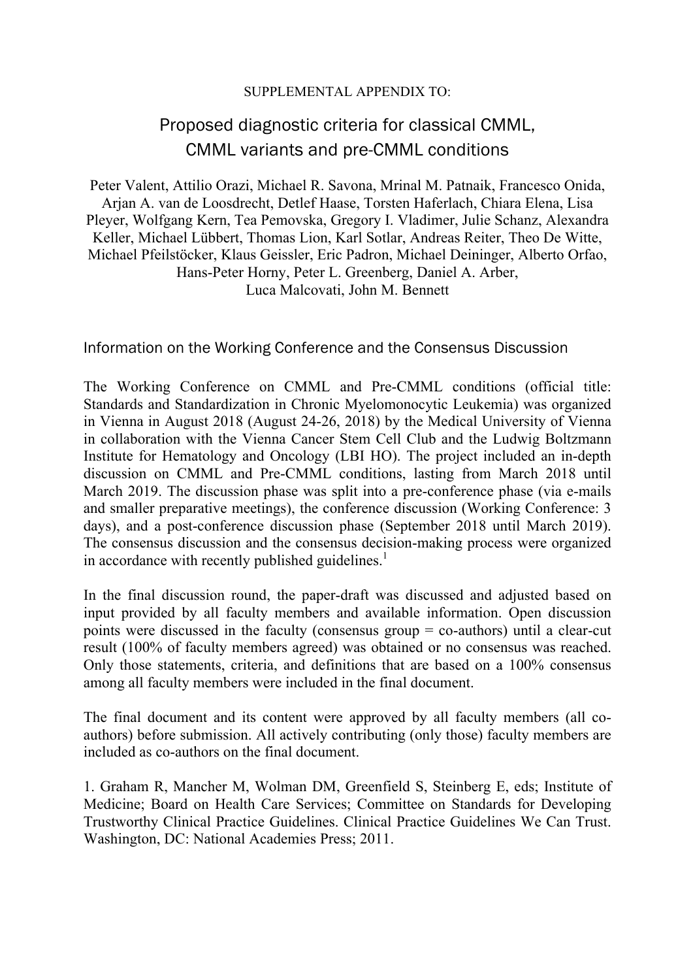#### SUPPLEMENTAL APPENDIX TO:

# Proposed diagnostic criteria for classical CMML, CMML variants and pre-CMML conditions

Peter Valent, Attilio Orazi, Michael R. Savona, Mrinal M. Patnaik, Francesco Onida, Arjan A. van de Loosdrecht, Detlef Haase, Torsten Haferlach, Chiara Elena, Lisa Pleyer, Wolfgang Kern, Tea Pemovska, Gregory I. Vladimer, Julie Schanz, Alexandra Keller, Michael Lübbert, Thomas Lion, Karl Sotlar, Andreas Reiter, Theo De Witte, Michael Pfeilstöcker, Klaus Geissler, Eric Padron, Michael Deininger, Alberto Orfao, Hans-Peter Horny, Peter L. Greenberg, Daniel A. Arber, Luca Malcovati, John M. Bennett

Information on the Working Conference and the Consensus Discussion

The Working Conference on CMML and Pre-CMML conditions (official title: Standards and Standardization in Chronic Myelomonocytic Leukemia) was organized in Vienna in August 2018 (August 24-26, 2018) by the Medical University of Vienna in collaboration with the Vienna Cancer Stem Cell Club and the Ludwig Boltzmann Institute for Hematology and Oncology (LBI HO). The project included an in-depth discussion on CMML and Pre-CMML conditions, lasting from March 2018 until March 2019. The discussion phase was split into a pre-conference phase (via e-mails and smaller preparative meetings), the conference discussion (Working Conference: 3 days), and a post-conference discussion phase (September 2018 until March 2019). The consensus discussion and the consensus decision-making process were organized in accordance with recently published guidelines. $\frac{1}{1}$ 

In the final discussion round, the paper-draft was discussed and adjusted based on input provided by all faculty members and available information. Open discussion points were discussed in the faculty (consensus group = co-authors) until a clear-cut result (100% of faculty members agreed) was obtained or no consensus was reached. Only those statements, criteria, and definitions that are based on a 100% consensus among all faculty members were included in the final document.

The final document and its content were approved by all faculty members (all coauthors) before submission. All actively contributing (only those) faculty members are included as co-authors on the final document.

1. Graham R, Mancher M, Wolman DM, Greenfield S, Steinberg E, eds; Institute of Medicine; Board on Health Care Services; Committee on Standards for Developing Trustworthy Clinical Practice Guidelines. Clinical Practice Guidelines We Can Trust. Washington, DC: National Academies Press; 2011.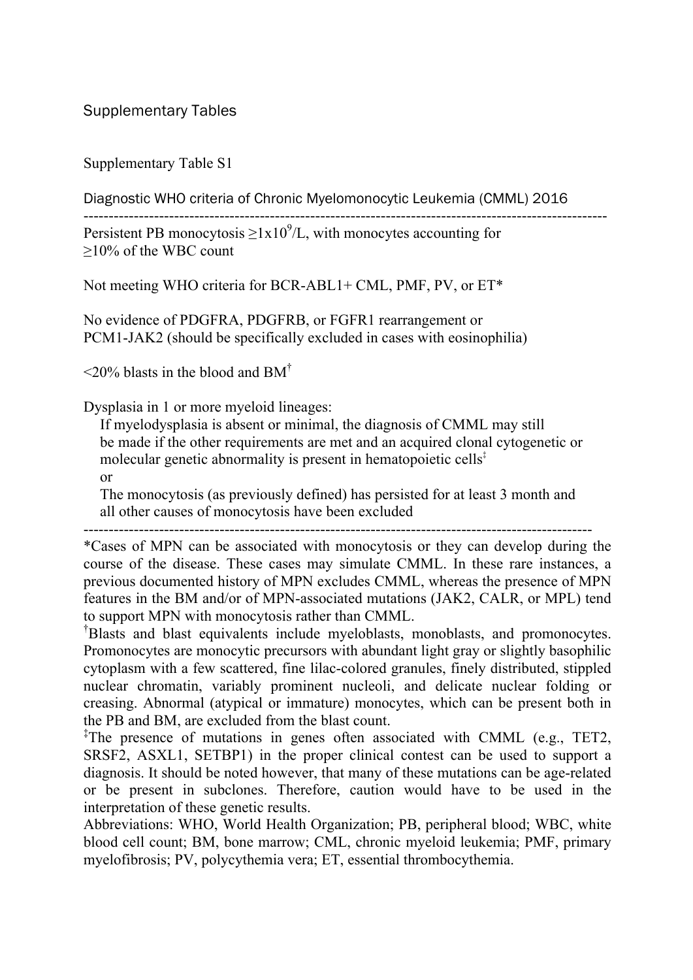Supplementary Table S1

Diagnostic WHO criteria of Chronic Myelomonocytic Leukemia (CMML) 2016

--------------------------------------------------------------------------------------------------------

Persistent PB monocytosis  $\geq 1x10^9/L$ , with monocytes accounting for ≥10% of the WBC count

Not meeting WHO criteria for BCR-ABL1+ CML, PMF, PV, or ET\*

No evidence of PDGFRA, PDGFRB, or FGFR1 rearrangement or PCM1-JAK2 (should be specifically excluded in cases with eosinophilia)

 $\leq$ 20% blasts in the blood and BM<sup>†</sup>

Dysplasia in 1 or more myeloid lineages:

If myelodysplasia is absent or minimal, the diagnosis of CMML may still be made if the other requirements are met and an acquired clonal cytogenetic or molecular genetic abnormality is present in hematopoietic cells<sup> $\ddagger$ </sup> or

The monocytosis (as previously defined) has persisted for at least 3 month and all other causes of monocytosis have been excluded

-----------------------------------------------------------------------------------------------------

\*Cases of MPN can be associated with monocytosis or they can develop during the course of the disease. These cases may simulate CMML. In these rare instances, a previous documented history of MPN excludes CMML, whereas the presence of MPN features in the BM and/or of MPN-associated mutations (JAK2, CALR, or MPL) tend to support MPN with monocytosis rather than CMML.

† Blasts and blast equivalents include myeloblasts, monoblasts, and promonocytes. Promonocytes are monocytic precursors with abundant light gray or slightly basophilic cytoplasm with a few scattered, fine lilac-colored granules, finely distributed, stippled nuclear chromatin, variably prominent nucleoli, and delicate nuclear folding or creasing. Abnormal (atypical or immature) monocytes, which can be present both in the PB and BM, are excluded from the blast count.

‡ The presence of mutations in genes often associated with CMML (e.g., TET2, SRSF2, ASXL1, SETBP1) in the proper clinical contest can be used to support a diagnosis. It should be noted however, that many of these mutations can be age-related or be present in subclones. Therefore, caution would have to be used in the interpretation of these genetic results.

Abbreviations: WHO, World Health Organization; PB, peripheral blood; WBC, white blood cell count; BM, bone marrow; CML, chronic myeloid leukemia; PMF, primary myelofibrosis; PV, polycythemia vera; ET, essential thrombocythemia.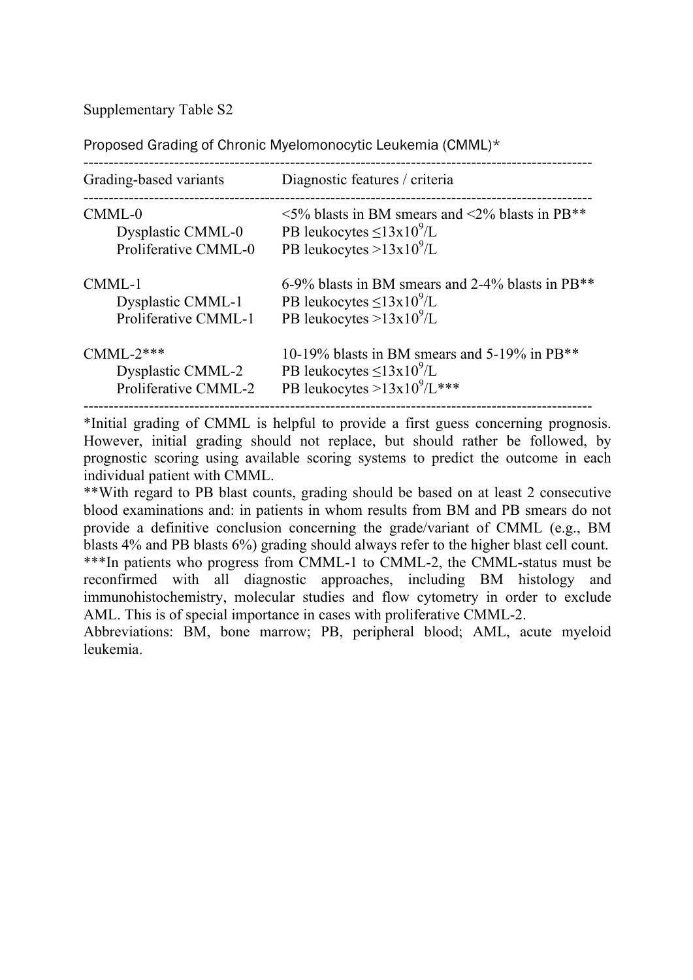Proposed Grading of Chronic Myelomonocytic Leukemia (CMML)\*

| Grading-based variants      | Diagnostic features / criteria                               |
|-----------------------------|--------------------------------------------------------------|
| $CMML-0$                    | $\leq$ 5% blasts in BM smears and $\leq$ 2% blasts in PB**   |
| Dysplastic CMML-0           | PB leukocytes $\leq$ 13x10 <sup>9</sup> /L                   |
| Proliferative CMML-0        | PB leukocytes $>13x10^9/L$                                   |
| CMML-1                      | 6-9% blasts in BM smears and 2-4% blasts in PB <sup>**</sup> |
| <b>Dysplastic CMML-1</b>    | PB leukocytes $\leq$ 13x10 <sup>9</sup> /L                   |
| <b>Proliferative CMML-1</b> | PB leukocytes $>13x10^9/L$                                   |
| $CMML-2***$                 | 10-19% blasts in BM smears and 5-19% in PB <sup>**</sup>     |
| <b>Dysplastic CMML-2</b>    | PB leukocytes $\leq$ 13x10 <sup>9</sup> /L                   |
| Proliferative CMML-2        | PB leukocytes > $13x10^{9}/L***$                             |

\*Initial grading of CMML is helpful to provide a first guess concerning prognosis. However, initial grading should not replace, but should rather be followed, by prognostic scoring using available scoring systems to predict the outcome in each individual patient with CMML.

\*\*With regard to PB blast counts, grading should be based on at least 2 consecutive blood examinations and: in patients in whom results from BM and PB smears do not provide a definitive conclusion concerning the grade/variant of CMML (e.g., BM blasts 4% and PB blasts 6%) grading should always refer to the higher blast cell count. \*\*\*In patients who progress from CMML-1 to CMML-2, the CMML-status must be reconfirmed with all diagnostic approaches, including BM histology and immunohistochemistry, molecular studies and flow cytometry in order to exclude AML. This is of special importance in cases with proliferative CMML-2.

Abbreviations: BM, bone marrow; PB, peripheral blood; AML, acute myeloid leukemia.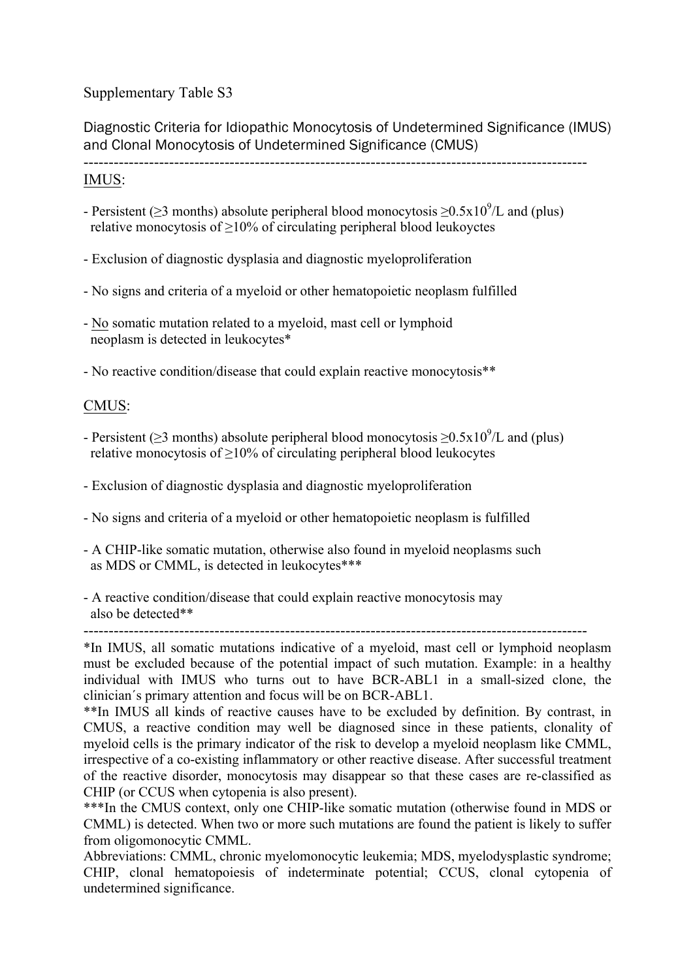Diagnostic Criteria for Idiopathic Monocytosis of Undetermined Significance (IMUS) and Clonal Monocytosis of Undetermined Significance (CMUS)

----------------------------------------------------------------------------------------------------

#### IMUS:

- Persistent ( $\geq$ 3 months) absolute peripheral blood monocytosis  $\geq$ 0.5x10<sup>9</sup>/L and (plus) relative monocytosis of ≥10% of circulating peripheral blood leukoyctes
- Exclusion of diagnostic dysplasia and diagnostic myeloproliferation
- No signs and criteria of a myeloid or other hematopoietic neoplasm fulfilled
- No somatic mutation related to a myeloid, mast cell or lymphoid neoplasm is detected in leukocytes\*
- No reactive condition/disease that could explain reactive monocytosis\*\*

### CMUS:

- Persistent ( $\geq$ 3 months) absolute peripheral blood monocytosis  $\geq$ 0.5x10<sup>9</sup>/L and (plus) relative monocytosis of  $\geq$ 10% of circulating peripheral blood leukocytes
- Exclusion of diagnostic dysplasia and diagnostic myeloproliferation
- No signs and criteria of a myeloid or other hematopoietic neoplasm is fulfilled
- A CHIP-like somatic mutation, otherwise also found in myeloid neoplasms such as MDS or CMML, is detected in leukocytes\*\*\*
- A reactive condition/disease that could explain reactive monocytosis may also be detected\*\*

----------------------------------------------------------------------------------------------------

\*In IMUS, all somatic mutations indicative of a myeloid, mast cell or lymphoid neoplasm must be excluded because of the potential impact of such mutation. Example: in a healthy individual with IMUS who turns out to have BCR-ABL1 in a small-sized clone, the clinician´s primary attention and focus will be on BCR-ABL1.

\*\*In IMUS all kinds of reactive causes have to be excluded by definition. By contrast, in CMUS, a reactive condition may well be diagnosed since in these patients, clonality of myeloid cells is the primary indicator of the risk to develop a myeloid neoplasm like CMML, irrespective of a co-existing inflammatory or other reactive disease. After successful treatment of the reactive disorder, monocytosis may disappear so that these cases are re-classified as CHIP (or CCUS when cytopenia is also present).

\*\*\*In the CMUS context, only one CHIP-like somatic mutation (otherwise found in MDS or CMML) is detected. When two or more such mutations are found the patient is likely to suffer from oligomonocytic CMML.

Abbreviations: CMML, chronic myelomonocytic leukemia; MDS, myelodysplastic syndrome; CHIP, clonal hematopoiesis of indeterminate potential; CCUS, clonal cytopenia of undetermined significance.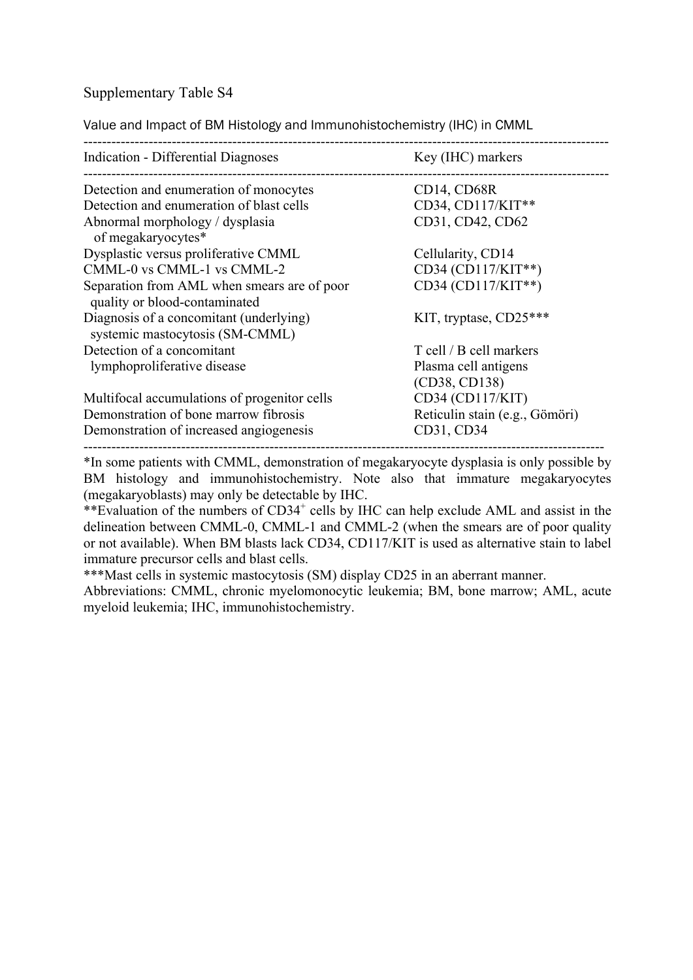Value and Impact of BM Histology and Immunohistochemistry (IHC) in CMML

| Indication - Differential Diagnoses                                          | Key (IHC) markers              |  |
|------------------------------------------------------------------------------|--------------------------------|--|
| Detection and enumeration of monocytes                                       | CD14, CD68R                    |  |
| Detection and enumeration of blast cells                                     | CD34, CD117/KIT**              |  |
| Abnormal morphology / dysplasia<br>of megakaryocytes*                        | CD31, CD42, CD62               |  |
| Dysplastic versus proliferative CMML                                         | Cellularity, CD14              |  |
| CMML-0 vs CMML-1 vs CMML-2                                                   | CD34 (CD117/KIT**)             |  |
| Separation from AML when smears are of poor<br>quality or blood-contaminated | CD34 (CD117/KIT**)             |  |
| Diagnosis of a concomitant (underlying)<br>systemic mastocytosis (SM-CMML)   | KIT, tryptase, $CD25***$       |  |
| Detection of a concomitant                                                   | T cell / B cell markers        |  |
| lymphoproliferative disease                                                  | Plasma cell antigens           |  |
|                                                                              | (CD38, CD138)                  |  |
| Multifocal accumulations of progenitor cells                                 | CD34 (CD117/KIT)               |  |
| Demonstration of bone marrow fibrosis                                        | Reticulin stain (e.g., Gömöri) |  |
| Demonstration of increased angiogenesis                                      | CD31, CD34                     |  |

\*In some patients with CMML, demonstration of megakaryocyte dysplasia is only possible by BM histology and immunohistochemistry. Note also that immature megakaryocytes (megakaryoblasts) may only be detectable by IHC.

\*\*Evaluation of the numbers of CD34<sup>+</sup> cells by IHC can help exclude AML and assist in the delineation between CMML-0, CMML-1 and CMML-2 (when the smears are of poor quality or not available). When BM blasts lack CD34, CD117/KIT is used as alternative stain to label immature precursor cells and blast cells.

\*\*\*Mast cells in systemic mastocytosis (SM) display CD25 in an aberrant manner.

Abbreviations: CMML, chronic myelomonocytic leukemia; BM, bone marrow; AML, acute myeloid leukemia; IHC, immunohistochemistry.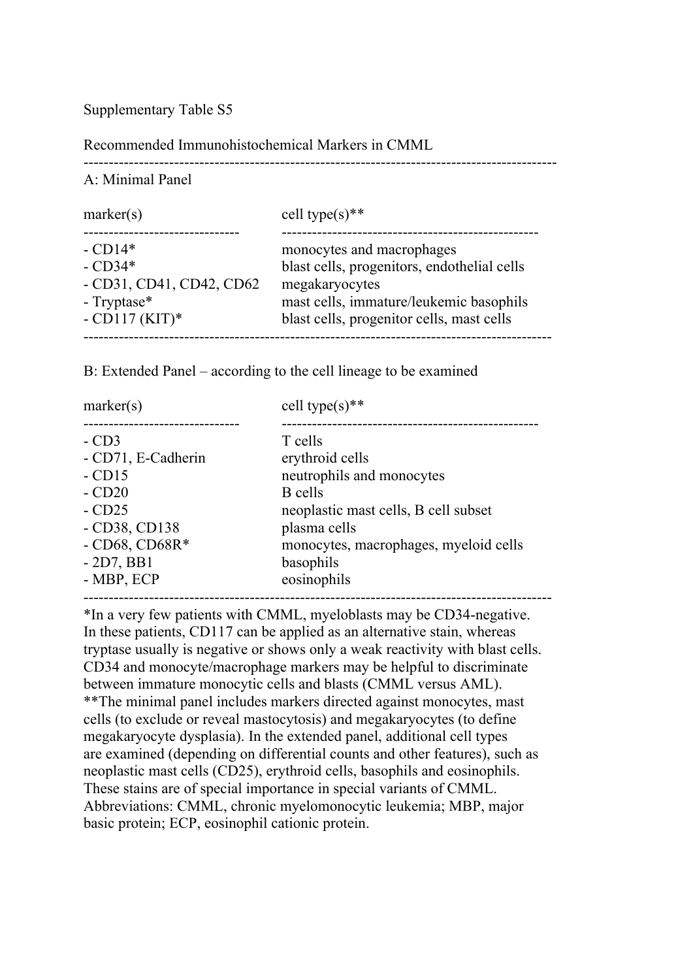Recommended Immunohistochemical Markers in CMML

----------------------------------------------------------------------------------------------

A: Minimal Panel

| marker(s)                                                                             | cell type(s)**                                                                                                                                                                     |
|---------------------------------------------------------------------------------------|------------------------------------------------------------------------------------------------------------------------------------------------------------------------------------|
| $-CD14*$<br>$-CD34*$<br>$-CD31, CD41, CD42, CD62$<br>- Tryptase $*$<br>$-CD117(KIT)*$ | monocytes and macrophages<br>blast cells, progenitors, endothelial cells<br>megakaryocytes<br>mast cells, immature/leukemic basophils<br>blast cells, progenitor cells, mast cells |
|                                                                                       |                                                                                                                                                                                    |

B: Extended Panel – according to the cell lineage to be examined

| T cells<br>erythroid cells<br>neutrophils and monocytes<br>B cells<br>neoplastic mast cells, B cell subset<br>plasma cells<br>monocytes, macrophages, myeloid cells<br>basophils<br>eosinophils | marker(s)                                                                                                                          | cell type(s)** |
|-------------------------------------------------------------------------------------------------------------------------------------------------------------------------------------------------|------------------------------------------------------------------------------------------------------------------------------------|----------------|
|                                                                                                                                                                                                 | $-CD3$<br>- CD71, E-Cadherin<br>$-CD15$<br>$-CD20$<br>$-CD25$<br>$-CD38, CD138$<br>$-CD68$ , $CD68R*$<br>$-2D7, BB1$<br>- MBP, ECP |                |

\*In a very few patients with CMML, myeloblasts may be CD34-negative. In these patients, CD117 can be applied as an alternative stain, whereas tryptase usually is negative or shows only a weak reactivity with blast cells. CD34 and monocyte/macrophage markers may be helpful to discriminate between immature monocytic cells and blasts (CMML versus AML). \*\*The minimal panel includes markers directed against monocytes, mast cells (to exclude or reveal mastocytosis) and megakaryocytes (to define megakaryocyte dysplasia). In the extended panel, additional cell types are examined (depending on differential counts and other features), such as neoplastic mast cells (CD25), erythroid cells, basophils and eosinophils. These stains are of special importance in special variants of CMML. Abbreviations: CMML, chronic myelomonocytic leukemia; MBP, major basic protein; ECP, eosinophil cationic protein.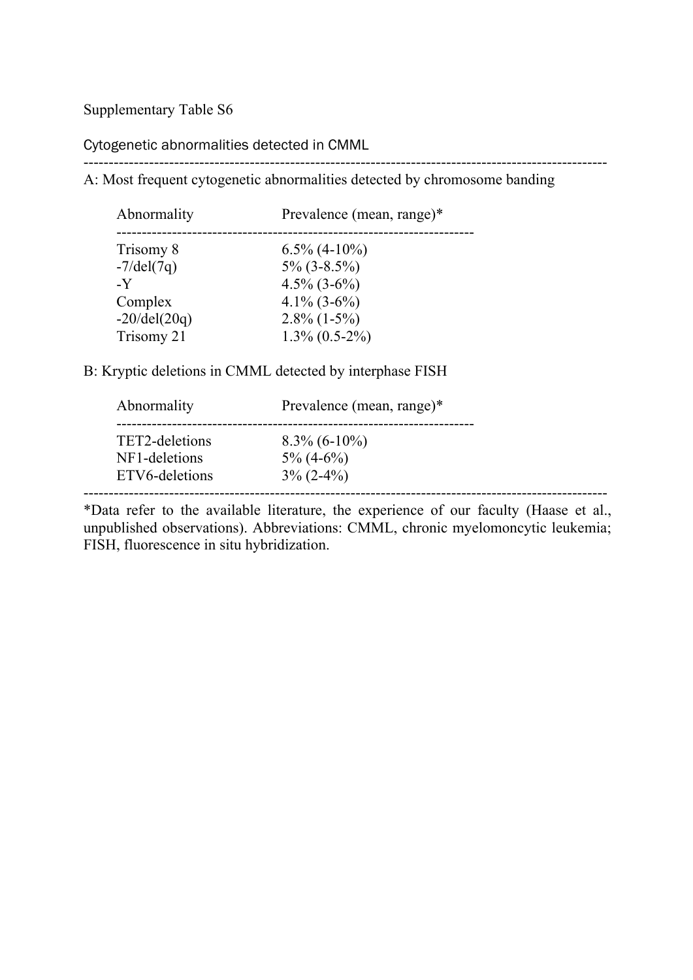Cytogenetic abnormalities detected in CMML

--------------------------------------------------------------------------------------------------------

A: Most frequent cytogenetic abnormalities detected by chromosome banding

| Abnormality           | Prevalence (mean, range)* |
|-----------------------|---------------------------|
| Trisomy 8             | $6.5\%$ (4-10%)           |
| $-7$ /del $(7q)$      | $5\%$ (3-8.5%)            |
| $\mathbf{-Y}$         | $4.5\%$ (3-6%)            |
| Complex               | $4.1\%$ (3-6%)            |
| $-20/\text{del}(20q)$ | $2.8\%$ (1-5%)            |
| Trisomy 21            | $1.3\%$ (0.5-2%)          |

B: Kryptic deletions in CMML detected by interphase FISH

| Abnormality    | Prevalence (mean, range)* |  |
|----------------|---------------------------|--|
| TET2-deletions | $8.3\%$ (6-10%)           |  |
| NF1-deletions  | $5\% (4-6\%)$             |  |
| ETV6-deletions | $3\%$ (2-4%)              |  |

\*Data refer to the available literature, the experience of our faculty (Haase et al., unpublished observations). Abbreviations: CMML, chronic myelomoncytic leukemia; FISH, fluorescence in situ hybridization.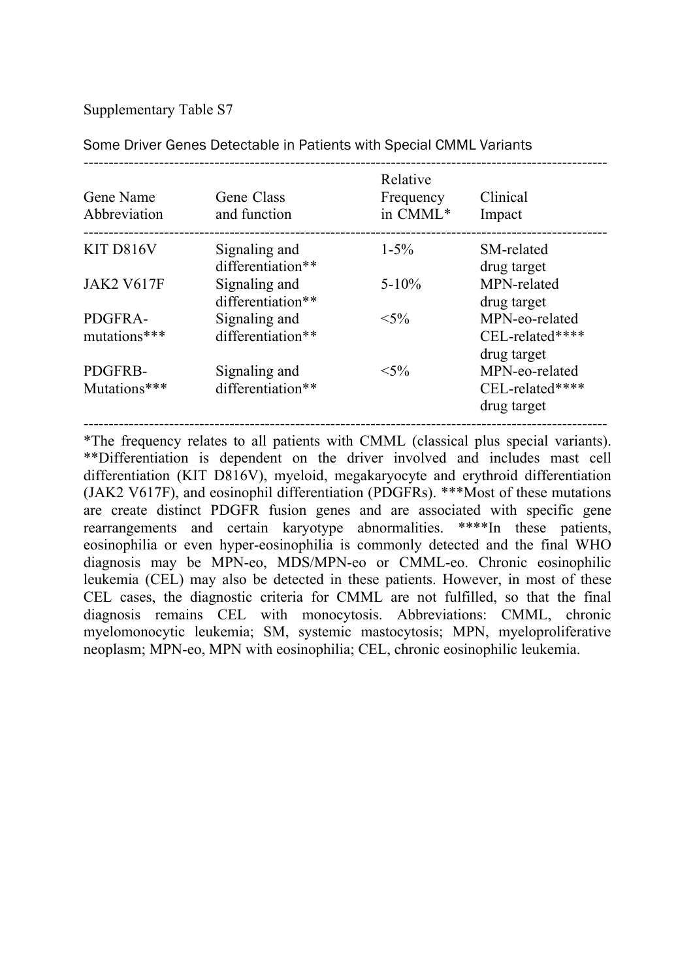| Gene Name<br>Abbreviation | Gene Class<br>and function         | Relative<br>Frequency<br>in CMML* | Clinical<br>Impact                               |
|---------------------------|------------------------------------|-----------------------------------|--------------------------------------------------|
| KIT D816V                 | Signaling and<br>differentiation** | $1 - 5\%$                         | SM-related<br>drug target                        |
| <b>JAK2 V617F</b>         | Signaling and<br>differentiation** | $5 - 10\%$                        | MPN-related<br>drug target                       |
| PDGFRA-<br>mutations***   | Signaling and<br>differentiation** | $< 5\%$                           | MPN-eo-related<br>CEL-related****<br>drug target |
| PDGFRB-<br>Mutations***   | Signaling and<br>differentiation** | $< 5\%$                           | MPN-eo-related<br>CEL-related****<br>drug target |

Some Driver Genes Detectable in Patients with Special CMML Variants

\*The frequency relates to all patients with CMML (classical plus special variants). \*\*Differentiation is dependent on the driver involved and includes mast cell differentiation (KIT D816V), myeloid, megakaryocyte and erythroid differentiation (JAK2 V617F), and eosinophil differentiation (PDGFRs). \*\*\*Most of these mutations are create distinct PDGFR fusion genes and are associated with specific gene rearrangements and certain karyotype abnormalities. \*\*\*\*In these patients, eosinophilia or even hyper-eosinophilia is commonly detected and the final WHO diagnosis may be MPN-eo, MDS/MPN-eo or CMML-eo. Chronic eosinophilic leukemia (CEL) may also be detected in these patients. However, in most of these CEL cases, the diagnostic criteria for CMML are not fulfilled, so that the final diagnosis remains CEL with monocytosis. Abbreviations: CMML, chronic myelomonocytic leukemia; SM, systemic mastocytosis; MPN, myeloproliferative neoplasm; MPN-eo, MPN with eosinophilia; CEL, chronic eosinophilic leukemia.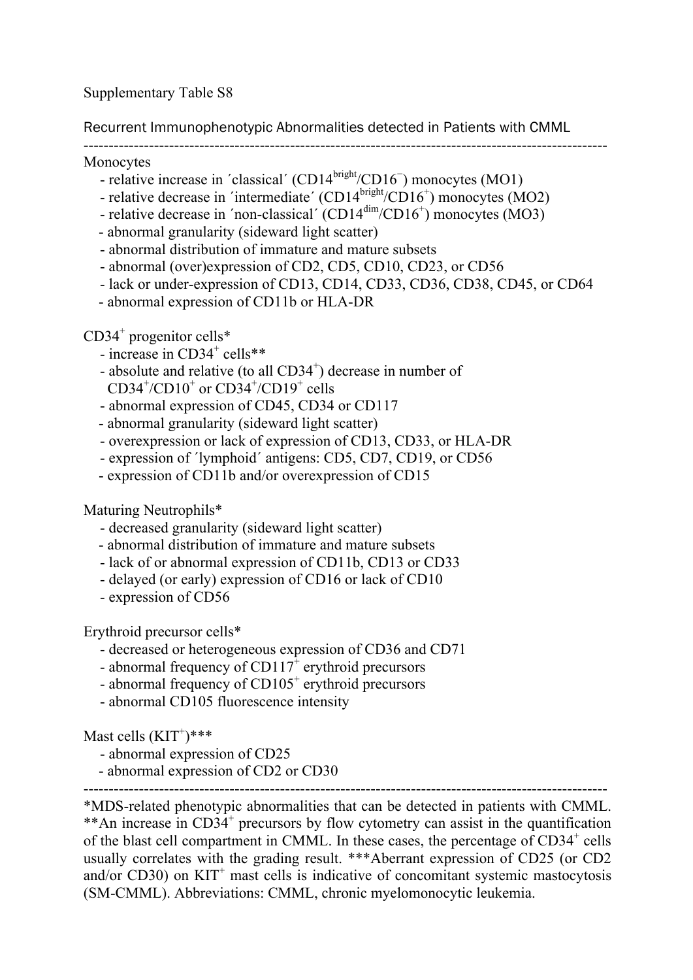Recurrent Immunophenotypic Abnormalities detected in Patients with CMML

--------------------------------------------------------------------------------------------------------

Monocytes

- relative increase in 'classical' (CD14<sup>bright</sup>/CD16<sup>-</sup>) monocytes (MO1)
- relative decrease in 'intermediate'  $(CD14<sup>bright</sup>/CD16<sup>+</sup>)$  monocytes  $(MO2)$
- relative decrease in 'non-classical' (CD14<sup>dim</sup>/CD16<sup>+</sup>) monocytes (MO3)
- abnormal granularity (sideward light scatter)
- abnormal distribution of immature and mature subsets
- abnormal (over)expression of CD2, CD5, CD10, CD23, or CD56
- lack or under-expression of CD13, CD14, CD33, CD36, CD38, CD45, or CD64
- abnormal expression of CD11b or HLA-DR

 $CD34<sup>+</sup>$  progenitor cells\*

- $-$  increase in CD34<sup>+</sup> cells\*\*
- absolute and relative (to all CD34<sup>+</sup>) decrease in number of CD34 $^{\circ}$ /CD10 $^{\circ}$  or CD34 $^{\circ}$ /CD19 $^{\circ}$  cells
- abnormal expression of CD45, CD34 or CD117
- abnormal granularity (sideward light scatter)
- overexpression or lack of expression of CD13, CD33, or HLA-DR
- expression of ´lymphoid´ antigens: CD5, CD7, CD19, or CD56
- expression of CD11b and/or overexpression of CD15

Maturing Neutrophils\*

- decreased granularity (sideward light scatter)
- abnormal distribution of immature and mature subsets
- lack of or abnormal expression of CD11b, CD13 or CD33
- delayed (or early) expression of CD16 or lack of CD10
- expression of CD56

Erythroid precursor cells\*

- decreased or heterogeneous expression of CD36 and CD71
- abnormal frequency of  $CD117^+$  erythroid precursors
- abnormal frequency of  $CD105<sup>+</sup>$  erythroid precursors
- abnormal CD105 fluorescence intensity

Mast cells  $(KIT^+)^{***}$ 

- abnormal expression of CD25
- abnormal expression of CD2 or CD30

--------------------------------------------------------------------------------------------------------

\*MDS-related phenotypic abnormalities that can be detected in patients with CMML. \*\*An increase in CD34<sup>+</sup> precursors by flow cytometry can assist in the quantification of the blast cell compartment in CMML. In these cases, the percentage of  $CD34<sup>+</sup>$  cells usually correlates with the grading result. \*\*\*Aberrant expression of CD25 (or CD2 and/or  $CD30$ ) on  $KIT<sup>+</sup>$  mast cells is indicative of concomitant systemic mastocytosis (SM-CMML). Abbreviations: CMML, chronic myelomonocytic leukemia.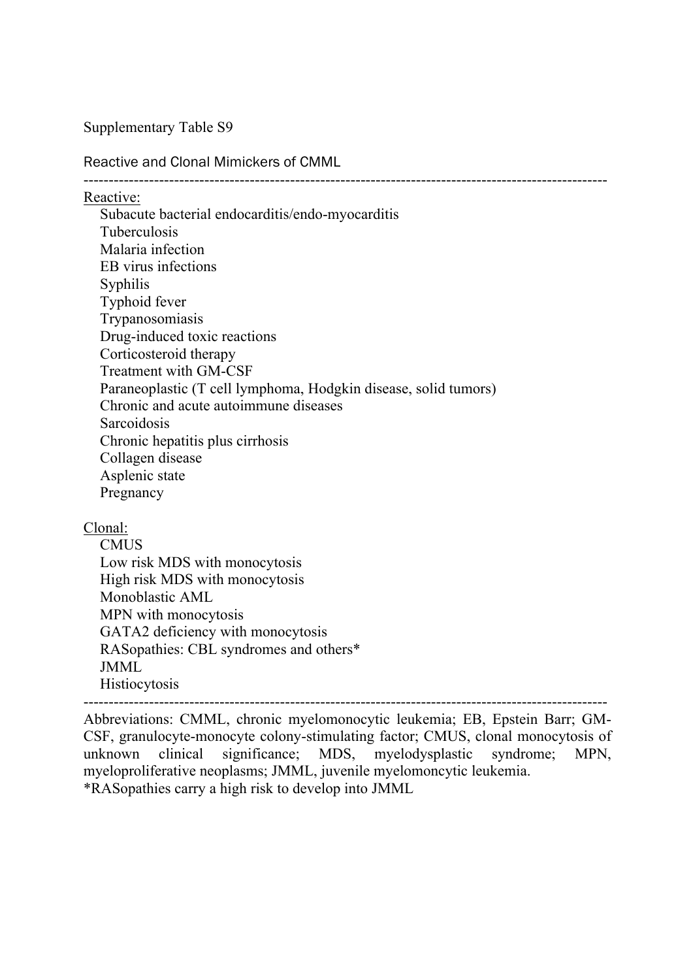#### Reactive and Clonal Mimickers of CMML

Reactive:

Subacute bacterial endocarditis/endo-myocarditis Tuberculosis Malaria infection EB virus infections Syphilis Typhoid fever Trypanosomiasis Drug-induced toxic reactions Corticosteroid therapy Treatment with GM-CSF Paraneoplastic (T cell lymphoma, Hodgkin disease, solid tumors) Chronic and acute autoimmune diseases **Sarcoidosis** Chronic hepatitis plus cirrhosis Collagen disease Asplenic state Pregnancy

--------------------------------------------------------------------------------------------------------

Clonal:

**CMUS** Low risk MDS with monocytosis High risk MDS with monocytosis Monoblastic AML MPN with monocytosis GATA2 deficiency with monocytosis RASopathies: CBL syndromes and others\* JMML **Histiocytosis** 

--------------------------------------------------------------------------------------------------------

Abbreviations: CMML, chronic myelomonocytic leukemia; EB, Epstein Barr; GM-CSF, granulocyte-monocyte colony-stimulating factor; CMUS, clonal monocytosis of unknown clinical significance; MDS, myelodysplastic syndrome; MPN, myeloproliferative neoplasms; JMML, juvenile myelomoncytic leukemia. \*RASopathies carry a high risk to develop into JMML